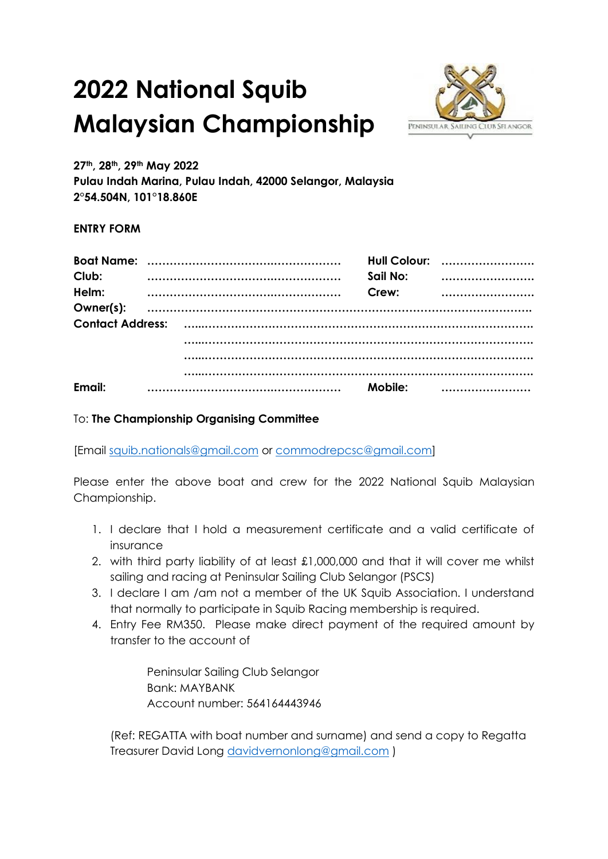## **2022 National Squib Malaysian Championship**



**27th, 28th, 29th May 2022**

**Pulau Indah Marina, Pulau Indah, 42000 Selangor, Malaysia 2°54.504N, 101°18.860E**

## **ENTRY FORM**

| Club:     |  | Sail No: | Hull Colour: |
|-----------|--|----------|--------------|
| Helm:     |  | Crew:    |              |
| Owner(s): |  |          |              |
|           |  |          |              |
|           |  |          |              |
| Email:    |  | Mobile:  |              |

## To: **The Championship Organising Committee**

[Email [squib.nationals@gmail.com](mailto:squib.nationals@gmail.com) or [commodrepcsc@gmail.com\]](mailto:commodrepcsc@gmail.com)

Please enter the above boat and crew for the 2022 National Squib Malaysian Championship.

- 1. I declare that I hold a measurement certificate and a valid certificate of insurance
- 2. with third party liability of at least £1,000,000 and that it will cover me whilst sailing and racing at Peninsular Sailing Club Selangor (PSCS)
- 3. I declare I am /am not a member of the UK Squib Association. I understand that normally to participate in Squib Racing membership is required.
- 4. Entry Fee RM350. Please make direct payment of the required amount by transfer to the account of

Peninsular Sailing Club Selangor Bank: MAYBANK Account number: 564164443946

(Ref: REGATTA with boat number and surname) and send a copy to Regatta Treasurer David Long [davidvernonlong@gmail.com](mailto:davidvernonlong@gmail.com) )